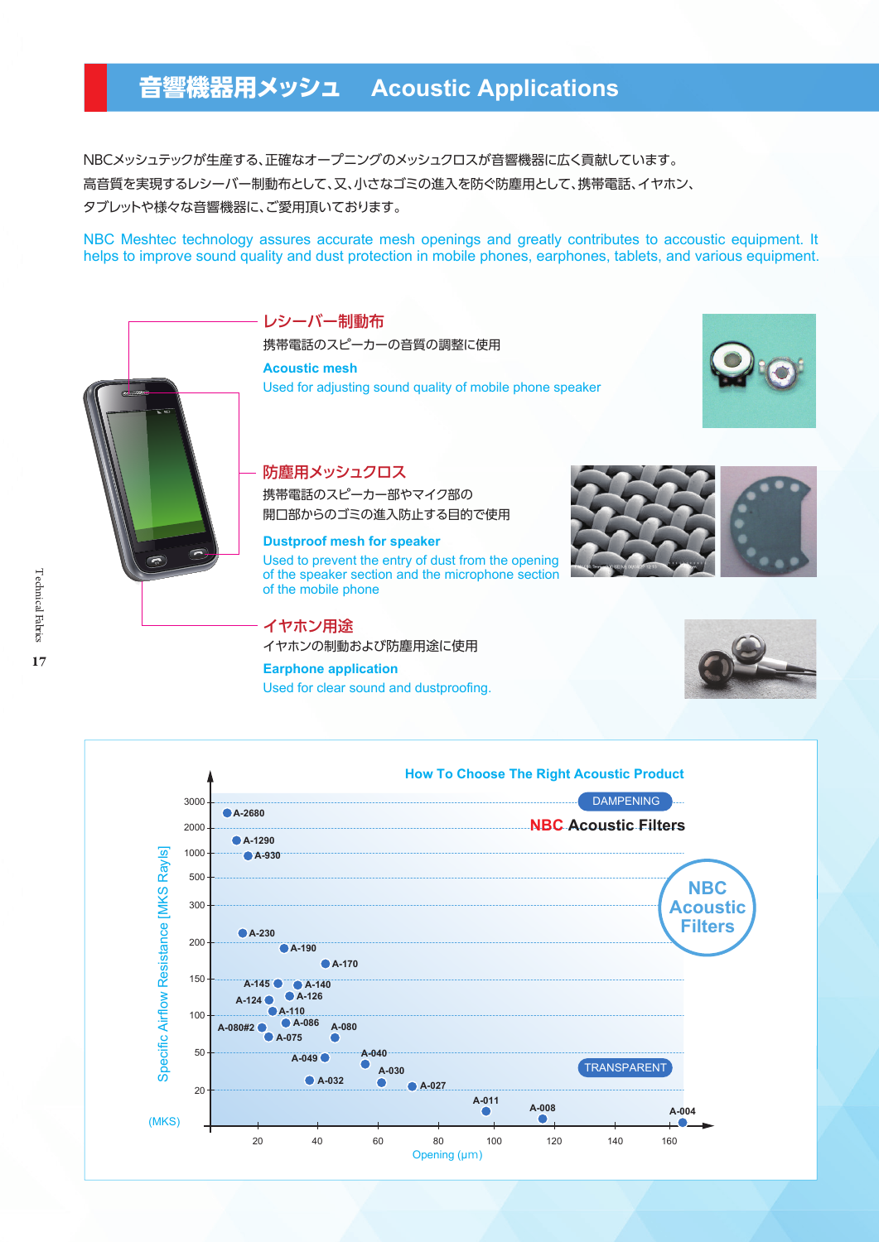## **音響機器用メッシュ Acoustic Applications**

NBCメッシュテックが生産する、正確なオープニングのメッシュクロスが音響機器に広く貢献しています。 高音質を実現するレシーバー制動布として、又、小さなゴミの進入を防ぐ防塵用として、携帯電話、イヤホン、 タブレットや様々な音響機器に、ご愛用頂いております。

NBC Meshtec technology assures accurate mesh openings and greatly contributes to accoustic equipment. It helps to improve sound quality and dust protection in mobile phones, earphones, tablets, and various equipment.

> レシーバー制動布 携帯電話のスピーカーの音質の調整に使用 **Acoustic mesh**





Used for adjusting sound quality of mobile phone speaker

## 防塵用メッシュクロス

携帯電話のスピーカー部やマイク部の 開口部からのゴミの進入防止する目的で使用

## **Dustproof mesh for speaker**

Used to prevent the entry of dust from the opening of the speaker section and the microphone section of the mobile phone

イヤホン用途 イヤホンの制動および防塵用途に使用 **Earphone application** 17 **18 Technical Fabrical Fabrical Fabrical Fabrical Fabrics Technical Fabrics Technical Fabrics Technical Fabrics Technical Fabrics Technical Fabrics Technical Fabrics Technical Fabrics Technical Fabrics Technical Fabric** 

Used for clear sound and dustproofing.